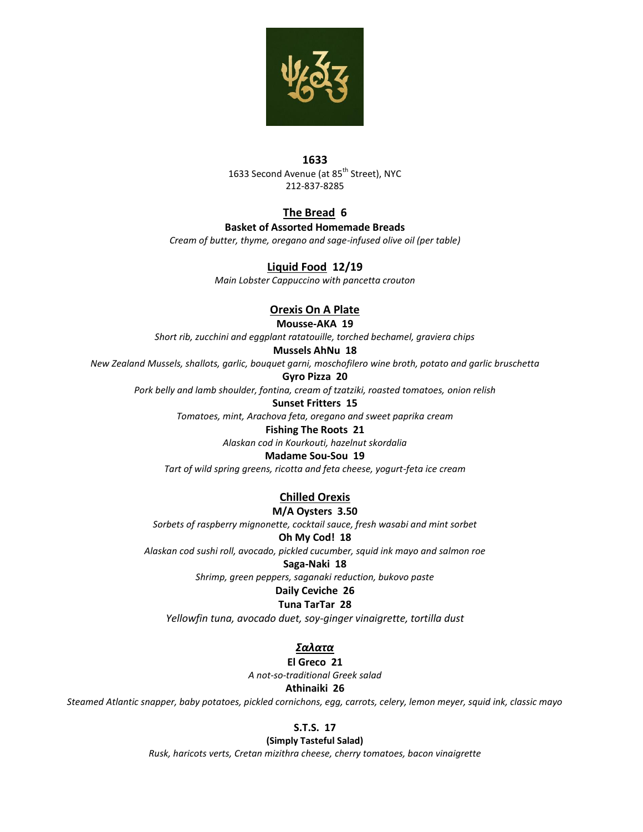

#### **1633** 1633 Second Avenue (at 85<sup>th</sup> Street), NYC 212-837-8285

# **The Bread 6**

### **Basket of Assorted Homemade Breads**

*Cream of butter, thyme, oregano and sage-infused olive oil (per table)*

## **Liquid Food 12/19**

*Main Lobster Cappuccino with pancetta crouton*

## **Orexis On A Plate**

**Mousse-AKA 19**

*Short rib, zucchini and eggplant ratatouille, torched bechamel, graviera chips*

## **Mussels AhNu 18**

*New Zealand Mussels, shallots, garlic, bouquet garni, moschofilero wine broth, potato and garlic bruschetta*

### **Gyro Pizza 20**

*Pork belly and lamb shoulder, fontina, cream of tzatziki, roasted tomatoes, onion relish*

#### **Sunset Fritters 15**

*Tomatoes, mint, Arachova feta, oregano and sweet paprika cream*

#### **Fishing The Roots 21**

*Alaskan cod in Kourkouti, hazelnut skordalia*

## **Madame Sou-Sou 19**

*Tart of wild spring greens, ricotta and feta cheese, yogurt-feta ice cream*

# **Chilled Orexis**

#### **M/A Oysters 3.50**

*Sorbets of raspberry mignonette, cocktail sauce, fresh wasabi and mint sorbet*

### **Oh My Cod! 18**

*Alaskan cod sushi roll, avocado, pickled cucumber, squid ink mayo and salmon roe*

#### **Saga-Naki 18**

*Shrimp, green peppers, saganaki reduction, bukovo paste*

## **Daily Ceviche 26**

## **Tuna TarTar 28**

*Yellowfin tuna, avocado duet, soy-ginger vinaigrette, tortilla dust*

# *Σαλατα*

**El Greco 21**

*A not-so-traditional Greek salad*

### **Athinaiki 26**

*Steamed Atlantic snapper, baby potatoes, pickled cornichons, egg, carrots, celery, lemon meyer, squid ink, classic mayo* 

## **S.T.S. 17**

**(Simply Tasteful Salad)**

*Rusk, haricots verts, Cretan mizithra cheese, cherry tomatoes, bacon vinaigrette*